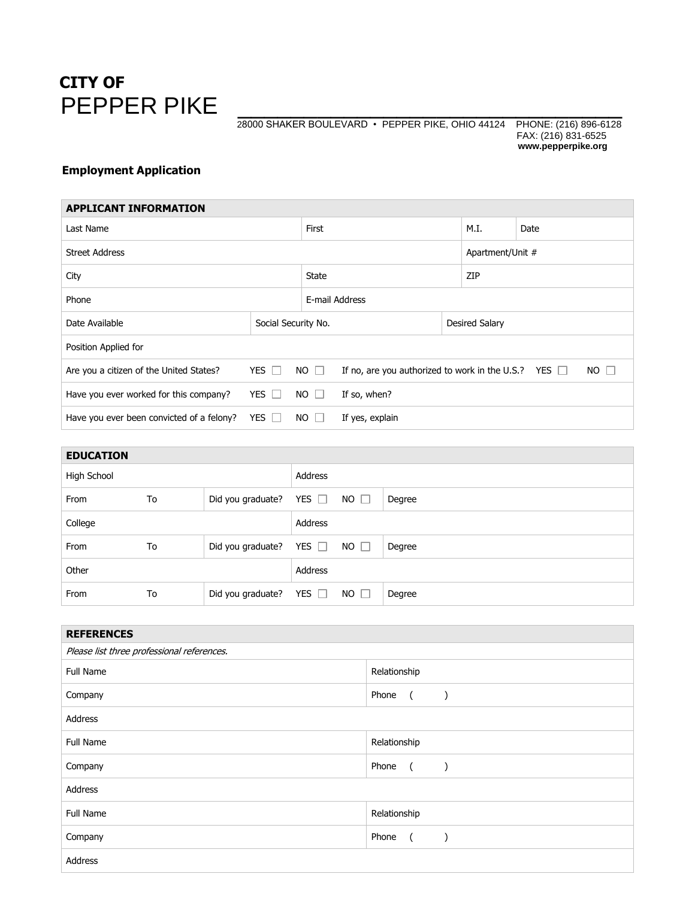

## PEPPER PIKE  $_{\frac{28000 \text{ SHAKER BOLIEVARD} \cdot \text{PEPPER PIKE, OHIO 44124} \text{ PHONE: (216) 896-6128}}$ 28000 SHAKER BOULEVARD • PEPPER PIKE, OHIO 44124 FAX: (216) 831-6525 **www.pepperpike.org**

## **Employment Application**

| <b>APPLICANT INFORMATION</b>              |              |                     |                                                                          |                  |      |  |  |
|-------------------------------------------|--------------|---------------------|--------------------------------------------------------------------------|------------------|------|--|--|
| Last Name                                 |              |                     |                                                                          | M.I.             | Date |  |  |
| <b>Street Address</b>                     |              |                     |                                                                          | Apartment/Unit # |      |  |  |
| City                                      |              |                     |                                                                          | ZIP              |      |  |  |
| Phone                                     |              |                     | E-mail Address                                                           |                  |      |  |  |
| Date Available                            |              | Social Security No. |                                                                          | Desired Salary   |      |  |  |
| Position Applied for                      |              |                     |                                                                          |                  |      |  |  |
| Are you a citizen of the United States?   | YES $\Box$   | $NO$ $\Box$         | If no, are you authorized to work in the U.S.? YES $\Box$<br>$NO$ $\Box$ |                  |      |  |  |
| Have you ever worked for this company?    | YES $\Box$   | $NO$ $\Box$         | If so, when?                                                             |                  |      |  |  |
| Have you ever been convicted of a felony? | $YES$ $\Box$ | NO.                 | If yes, explain                                                          |                  |      |  |  |

| <b>EDUCATION</b> |    |                   |            |             |        |
|------------------|----|-------------------|------------|-------------|--------|
| High School      |    |                   | Address    |             |        |
| From             | To | Did you graduate? | YES $\Box$ | $NO$ $\Box$ | Degree |
| College          |    |                   | Address    |             |        |
| From             | To | Did you graduate? | YES $\Box$ | $NO$ $\Box$ | Degree |
| Other            |    |                   | Address    |             |        |
| From             | To | Did you graduate? | YES $\Box$ | $NO$ $\Box$ | Degree |

| <b>REFERENCES</b>                          |                                          |  |  |  |
|--------------------------------------------|------------------------------------------|--|--|--|
| Please list three professional references. |                                          |  |  |  |
| Full Name                                  | Relationship                             |  |  |  |
| Company                                    | Phone<br>$\sqrt{2}$<br>$\rightarrow$     |  |  |  |
| Address                                    |                                          |  |  |  |
| <b>Full Name</b>                           | Relationship                             |  |  |  |
| Company                                    | Phone<br>$\overline{a}$<br>$\rightarrow$ |  |  |  |
| Address                                    |                                          |  |  |  |
| Full Name                                  | Relationship                             |  |  |  |
| Company                                    | Phone<br>$\overline{a}$<br>$\lambda$     |  |  |  |
| Address                                    |                                          |  |  |  |